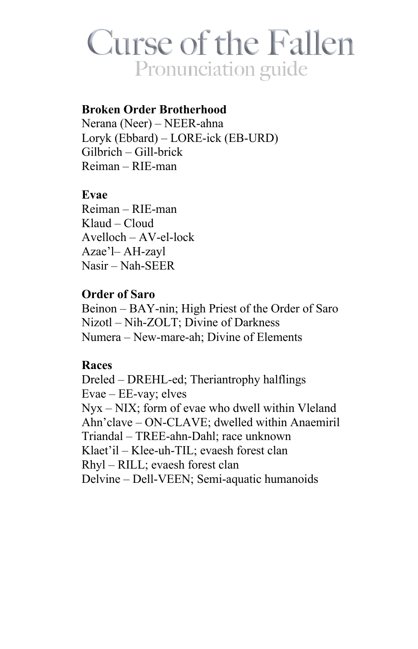# **Curse of the Fallen** Pronunciation guide

### **Broken Order Brotherhood**

Nerana (Neer) – NEER-ahna Loryk (Ebbard) – LORE-ick (EB-URD)  $Gilbrich - Gill-brick$  $Reiman - RIE$ -man

### Evae

Reiman - RIE-man Klaud - Cloud  $A$ vel $loch - AV$ -el- $lock$ Azae'l-AH-zavl  $Nasir - Nah-SEER$ 

## **Order of Saro**

Beinon – BAY-nin; High Priest of the Order of Saro Nizotl - Nih-ZOLT; Divine of Darkness Numera – New-mare-ah; Divine of Elements

### **Races**

Dreled – DREHL-ed; Theriantrophy halflings Evae - EE-vay; elves  $Nyx - NIX$ ; form of evae who dwell within Vleland Ahn'clave - ON-CLAVE; dwelled within Anaemiril Triandal – TREE-ahn-Dahl: race unknown Klaet'il - Klee-uh-TIL; evaesh forest clan Rhyl – RILL; evaesh forest clan Delvine – Dell-VEEN; Semi-aquatic humanoids